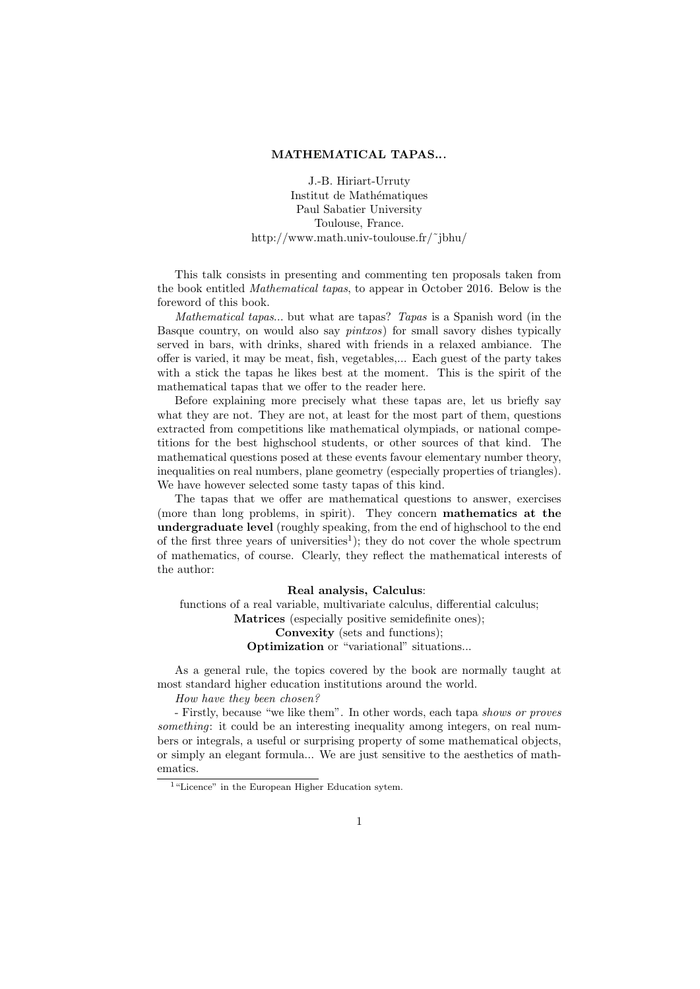## MATHEMATICAL TAPAS...

J.-B. Hiriart-Urruty Institut de Mathématiques Paul Sabatier University Toulouse, France. http://www.math.univ-toulouse.fr/˜jbhu/

This talk consists in presenting and commenting ten proposals taken from the book entitled Mathematical tapas, to appear in October 2016. Below is the foreword of this book.

Mathematical tapas... but what are tapas? Tapas is a Spanish word (in the Basque country, on would also say pintxos) for small savory dishes typically served in bars, with drinks, shared with friends in a relaxed ambiance. The offer is varied, it may be meat, fish, vegetables,... Each guest of the party takes with a stick the tapas he likes best at the moment. This is the spirit of the mathematical tapas that we offer to the reader here.

Before explaining more precisely what these tapas are, let us briefly say what they are not. They are not, at least for the most part of them, questions extracted from competitions like mathematical olympiads, or national competitions for the best highschool students, or other sources of that kind. The mathematical questions posed at these events favour elementary number theory, inequalities on real numbers, plane geometry (especially properties of triangles). We have however selected some tasty tapas of this kind.

The tapas that we offer are mathematical questions to answer, exercises (more than long problems, in spirit). They concern mathematics at the undergraduate level (roughly speaking, from the end of highschool to the end of the first three years of universities<sup>1</sup>); they do not cover the whole spectrum of mathematics, of course. Clearly, they reflect the mathematical interests of the author:

## Real analysis, Calculus:

functions of a real variable, multivariate calculus, differential calculus; Matrices (especially positive semidefinite ones); Convexity (sets and functions); Optimization or "variational" situations...

As a general rule, the topics covered by the book are normally taught at most standard higher education institutions around the world.

How have they been chosen?

- Firstly, because "we like them". In other words, each tapa shows or proves something: it could be an interesting inequality among integers, on real numbers or integrals, a useful or surprising property of some mathematical objects, or simply an elegant formula... We are just sensitive to the aesthetics of mathematics.

<sup>&</sup>lt;sup>1</sup> "Licence" in the European Higher Education sytem.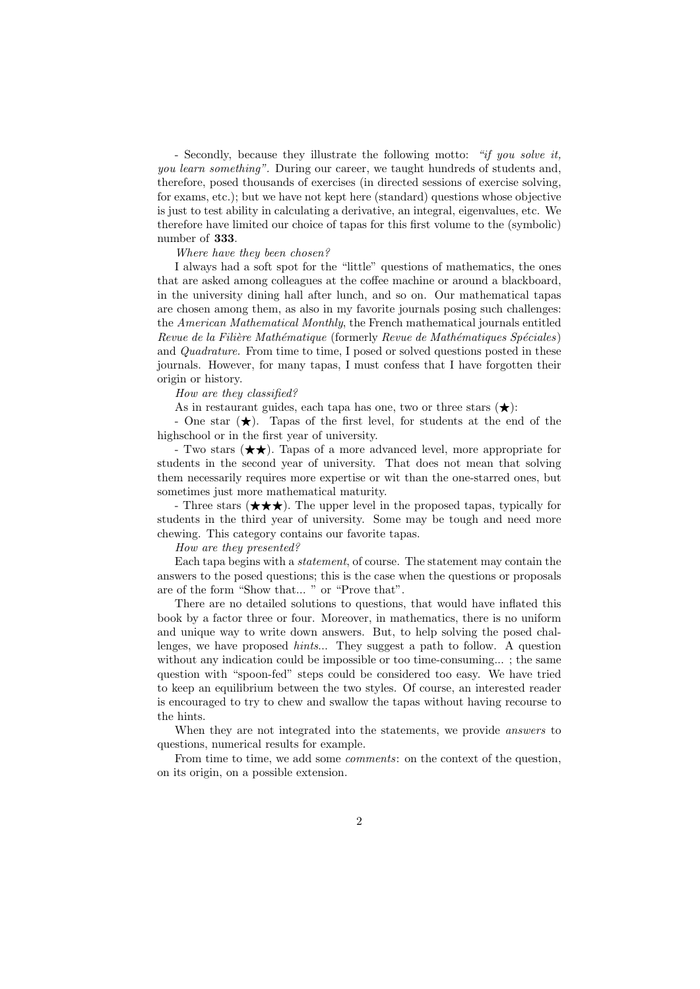- Secondly, because they illustrate the following motto: "if you solve it, you learn something". During our career, we taught hundreds of students and, therefore, posed thousands of exercises (in directed sessions of exercise solving, for exams, etc.); but we have not kept here (standard) questions whose objective is just to test ability in calculating a derivative, an integral, eigenvalues, etc. We therefore have limited our choice of tapas for this first volume to the (symbolic) number of 333.

## Where have they been chosen?

I always had a soft spot for the "little" questions of mathematics, the ones that are asked among colleagues at the coffee machine or around a blackboard, in the university dining hall after lunch, and so on. Our mathematical tapas are chosen among them, as also in my favorite journals posing such challenges: the American Mathematical Monthly, the French mathematical journals entitled Revue de la Filière Mathématique (formerly Revue de Mathématiques Spéciales) and Quadrature. From time to time, I posed or solved questions posted in these journals. However, for many tapas, I must confess that I have forgotten their origin or history.

## How are they classified?

As in restaurant guides, each tapa has one, two or three stars  $(\star)$ :

- One star  $(\star)$ . Tapas of the first level, for students at the end of the highschool or in the first year of university.

- Two stars  $(\bigstar \bigstar)$ . Tapas of a more advanced level, more appropriate for students in the second year of university. That does not mean that solving them necessarily requires more expertise or wit than the one-starred ones, but sometimes just more mathematical maturity.

- Three stars  $(\star \star \star)$ . The upper level in the proposed tapas, typically for students in the third year of university. Some may be tough and need more chewing. This category contains our favorite tapas.

How are they presented?

Each tapa begins with a statement, of course. The statement may contain the answers to the posed questions; this is the case when the questions or proposals are of the form "Show that... " or "Prove that".

There are no detailed solutions to questions, that would have inflated this book by a factor three or four. Moreover, in mathematics, there is no uniform and unique way to write down answers. But, to help solving the posed challenges, we have proposed hints... They suggest a path to follow. A question without any indication could be impossible or too time-consuming... ; the same question with "spoon-fed" steps could be considered too easy. We have tried to keep an equilibrium between the two styles. Of course, an interested reader is encouraged to try to chew and swallow the tapas without having recourse to the hints.

When they are not integrated into the statements, we provide *answers* to questions, numerical results for example.

From time to time, we add some *comments*: on the context of the question, on its origin, on a possible extension.